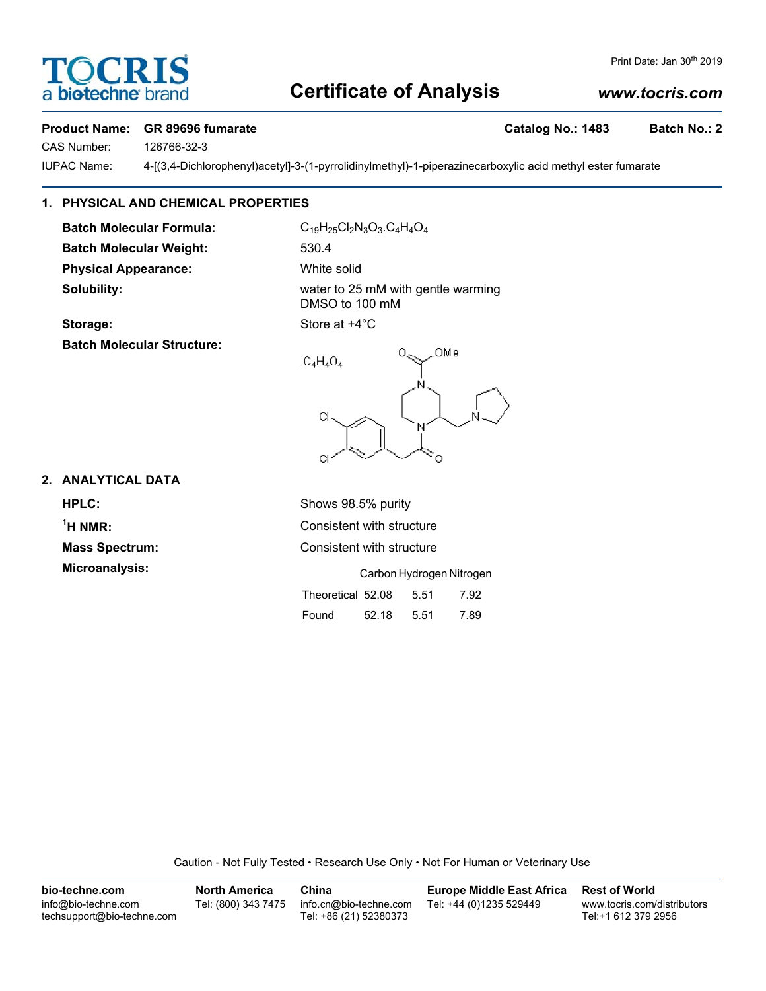# **Certificate of Analysis**

#### Print Date: Jan 30<sup>th</sup> 2019

### *www.tocris.com*

#### **Product Name: GR 89696 fumarate Catalog No.: 1483 Batch No.: 2**

CAS Number: 126766-32-3

IUPAC Name: 4-[(3,4-Dichlorophenyl)acetyl]-3-(1-pyrrolidinylmethyl)-1-piperazinecarboxylic acid methyl ester fumarate

#### **1. PHYSICAL AND CHEMICAL PROPERTIES**

Batch Molecular Formula: C<sub>19</sub>H<sub>25</sub>Cl<sub>2</sub>N<sub>3</sub>O<sub>3</sub>.C<sub>4</sub>H<sub>4</sub>O<sub>4</sub> **Batch Molecular Weight:** 530.4 **Physical Appearance:** White solid

**Solubility:** Solubility: water to 25 mM with gentle warming DMSO to 100 mM

**Batch Molecular Structure:**

# **2. ANALYTICAL DATA**

**HPLC:** Shows 98.5% purity  $1$ <sup>H</sup> NMR $\cdot$ 

Consistent with structure **Mass Spectrum:** Consistent with structure

C.

| <b>Microanalysis:</b> |                        |       |      | Carbon Hydrogen Nitrogen |
|-----------------------|------------------------|-------|------|--------------------------|
|                       | Theoretical 52.08 5.51 |       |      | 7.92                     |
|                       | Found                  | 52.18 | 5.51 | 7.89                     |

Caution - Not Fully Tested • Research Use Only • Not For Human or Veterinary Use

| bio-techne.com                                    | <b>North America</b> | China                                            | <b>Europe Middle East Africa</b> | <b>Rest of World</b>                               |
|---------------------------------------------------|----------------------|--------------------------------------------------|----------------------------------|----------------------------------------------------|
| info@bio-techne.com<br>techsupport@bio-techne.com | Tel: (800) 343 7475  | info.cn@bio-techne.com<br>Tel: +86 (21) 52380373 | Tel: +44 (0)1235 529449          | www.tocris.com/distributors<br>Tel:+1 612 379 2956 |